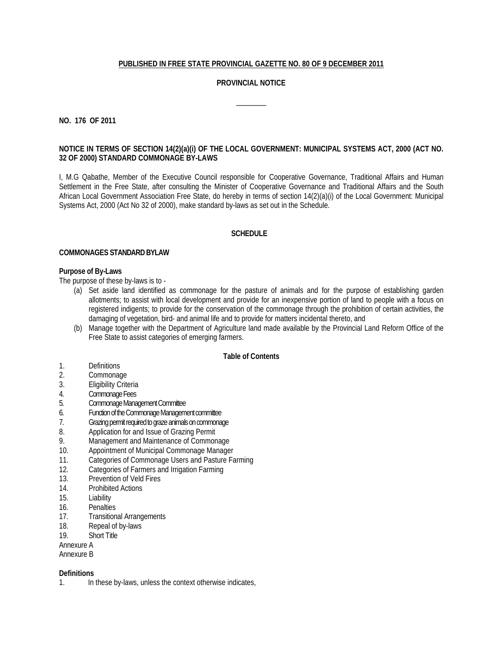# **PUBLISHED IN FREE STATE PROVINCIAL GAZETTE NO. 80 OF 9 DECEMBER 2011**

# **PROVINCIAL NOTICE**

 $\overline{\phantom{a}}$ 

**NO. 176 OF 2011**

### **NOTICE IN TERMS OF SECTION 14(2)(a)(i) OF THE LOCAL GOVERNMENT: MUNICIPAL SYSTEMS ACT, 2000 (ACT NO. 32 OF 2000) STANDARD COMMONAGE BY-LAWS**

I, M.G Qabathe, Member of the Executive Council responsible for Cooperative Governance, Traditional Affairs and Human Settlement in the Free State, after consulting the Minister of Cooperative Governance and Traditional Affairs and the South African Local Government Association Free State, do hereby in terms of section 14(2)(a)(i) of the Local Government: Municipal Systems Act, 2000 (Act No 32 of 2000), make standard by-laws as set out in the Schedule.

### **SCHEDULE**

### **COMMONAGES STANDARD BYLAW**

### **Purpose of By-Laws**

The purpose of these by-laws is to -

- (a) Set aside land identified as commonage for the pasture of animals and for the purpose of establishing garden allotments; to assist with local development and provide for an inexpensive portion of land to people with a focus on registered indigents; to provide for the conservation of the commonage through the prohibition of certain activities, the damaging of vegetation, bird- and animal life and to provide for matters incidental thereto, and
- (b) Manage together with the Department of Agriculture land made available by the Provincial Land Reform Office of the Free State to assist categories of emerging farmers.

#### **Table of Contents**

- 1. Definitions
- 2. Commonage<br>3. Eligibility Crite
- Eligibility Criteria
- 4. Commonage Fees
- 5. Commonage Management Committee
- 6. Function of the Commonage Management committee
- 7. Grazing permit required to graze animals on commonage
- 8. Application for and Issue of Grazing Permit
- 9. Management and Maintenance of Commonage<br>10 Appointment of Municipal Commonage Manage
- Appointment of Municipal Commonage Manager
- 11. Categories of Commonage Users and Pasture Farming
- 12. Categories of Farmers and Irrigation Farming<br>13 Prevention of Veld Fires
- Prevention of Veld Fires
- 14. Prohibited Actions
- 15. Liability
- 16. Penalties
- 17. Transitional Arrangements
- 18. Repeal of by-laws
- 19. Short Title
- Annexure A
- Annexure B

### **Definitions**

1. In these by-laws, unless the context otherwise indicates,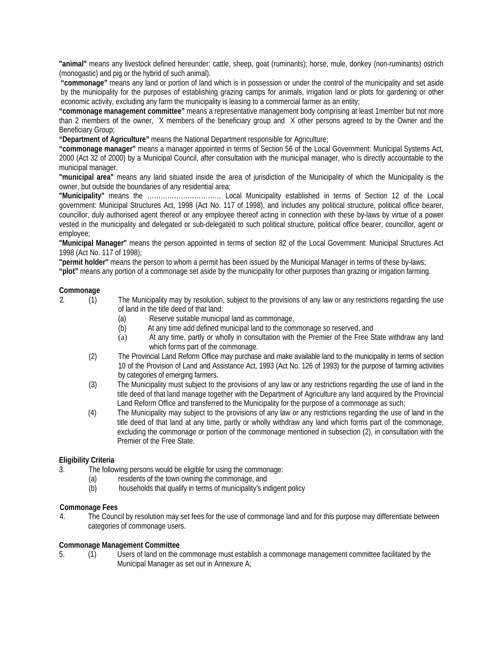**"animal"** means any livestock defined hereunder: cattle, sheep, goat (ruminants); horse, mule, donkey (non-ruminants) ostrich (monogastic) and pig or the hybrid of such animal).

**"commonage"** means any land or portion of land which is in possession or under the control of the municipality and set aside by the municipality for the purposes of establishing grazing camps for animals, irrigation land or plots for gardening or other economic activity, excluding any farm the municipality is leasing to a commercial farmer as an entity;

**"commonage management committee"** means a representative management body comprising at least 1member but not more than 2 members of the owner, X members of the beneficiary group and X other persons agreed to by the Owner and the Beneficiary Group;

**"Department of Agriculture"** means the National Department responsible for Agriculture;

**"commonage manager"** means a manager appointed in terms of Section 56 of the Local Government: Municipal Systems Act, 2000 (Act 32 of 2000) by a Municipal Council, after consultation with the municipal manager, who is directly accountable to the municipal manager.

**"municipal area"** means any land situated inside the area of jurisdiction of the Municipality of which the Municipality is the owner, but outside the boundaries of any residential area;

**"Municipality"** means the …………………………… Local Municipality established in terms of Section 12 of the Local government: Municipal Structures Act, 1998 (Act No. 117 of 1998), and includes any political structure, political office bearer, councillor, duly authorised agent thereof or any employee thereof acting in connection with these by-laws by virtue of a power vested in the municipality and delegated or sub-delegated to such political structure, political office bearer, councillor, agent or employee;

**"Municipal Manager"** means the person appointed in terms of section 82 of the Local Government: Municipal Structures Act 1998 (Act No. 117 of 1998);

**"permit holder''** means the person to whom a permit has been issued by the Municipal Manager in terms of these by-laws;

**"plot"** means any portion of a commonage set aside by the municipality for other purposes than grazing or irrigation farming.

### **Commonage**

2. (1) The Municipality may by resolution, subject to the provisions of any law or any restrictions regarding the use of land in the title deed of that land:

- (a) Reserve suitable municipal land as commonage,
- (b) At any time add defined municipal land to the commonage so reserved, and
- (a) At any time, partly or wholly in consultation with the Premier of the Free State withdraw any land which forms part of the commonage.
- (2) The Provincial Land Reform Office may purchase and make available land to the municipality in terms of section 10 of the Provision of Land and Assistance Act, 1993 (Act No. 126 of 1993) for the purpose of farming activities by categories of emerging farmers.
- (3) The Municipality must subject to the provisions of any law or any restrictions regarding the use of land in the title deed of that land manage together with the Department of Agriculture any land acquired by the Provincial Land Reform Office and transferred to the Municipality for the purpose of a commonage as such;
- (4) The Municipality may subject to the provisions of any law or any restrictions regarding the use of land in the title deed of that land at any time, partly or wholly withdraw any land which forms part of the commonage, excluding the commonage or portion of the commonage mentioned in subsection (2), in consultation with the Premier of the Free State.

### **Eligibility Criteria**

- 3. The following persons would be eligible for using the commonage:
	- (a) residents of the town owning the commonage, and
	- (b) households that qualify in terms of municipality's indigent policy

### **Commonage Fees**

4. The Council by resolution may set fees for the use of commonage land and for this purpose may differentiate between categories of commonage users.

### **Commonage Management Committee**

5. (1) Users of land on the commonage must establish a commonage management committee facilitated by the Municipal Manager as set out in Annexure A;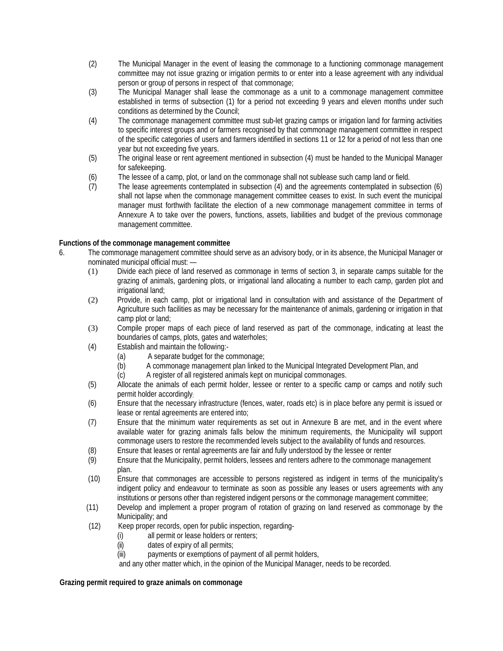- (2) The Municipal Manager in the event of leasing the commonage to a functioning commonage management committee may not issue grazing or irrigation permits to or enter into a lease agreement with any individual person or group of persons in respect of that commonage;
- (3) The Municipal Manager shall lease the commonage as a unit to a commonage management committee established in terms of subsection (1) for a period not exceeding 9 years and eleven months under such conditions as determined by the Council;
- (4) The commonage management committee must sub-let grazing camps or irrigation land for farming activities to specific interest groups and or farmers recognised by that commonage management committee in respect of the specific categories of users and farmers identified in sections 11 or 12 for a period of not less than one year but not exceeding five years.
- (5) The original lease or rent agreement mentioned in subsection (4) must be handed to the Municipal Manager for safekeeping.
- (6) The lessee of a camp, plot, or land on the commonage shall not sublease such camp land or field.<br>(7) The lease agreements contemplated in subsection (4) and the agreements contemplated in subs
- (7) The lease agreements contemplated in subsection (4) and the agreements contemplated in subsection (6) shall not lapse when the commonage management committee ceases to exist. In such event the municipal manager must forthwith facilitate the election of a new commonage management committee in terms of Annexure A to take over the powers, functions, assets, liabilities and budget of the previous commonage management committee.

### **Functions of the commonage management committee**

- 6. The commonage management committee should serve as an advisory body, or in its absence, the Municipal Manager or nominated municipal official must: —
	- (1) Divide each piece of land reserved as commonage in terms of section 3, in separate camps suitable for the grazing of animals, gardening plots, or irrigational land allocating a number to each camp, garden plot and irrigational land;
	- (2) Provide, in each camp, plot or irrigational land in consultation with and assistance of the Department of Agriculture such facilities as may be necessary for the maintenance of animals, gardening or irrigation in that camp plot or land;
	- (3) Compile proper maps of each piece of land reserved as part of the commonage, indicating at least the boundaries of camps, plots, gates and waterholes;
	- (4) Establish and maintain the following:-
		- (a) A separate budget for the commonage;<br>(b) A commonage management plan linked
		- A commonage management plan linked to the Municipal Integrated Development Plan, and
		- (c) A register of all registered animals kept on municipal commonages.
	- (5) Allocate the animals of each permit holder, lessee or renter to a specific camp or camps and notify such permit holder accordingly;
	- (6) Ensure that the necessary infrastructure (fences, water, roads etc) is in place before any permit is issued or lease or rental agreements are entered into;
	- (7) Ensure that the minimum water requirements as set out in Annexure B are met, and in the event where available water for grazing animals falls below the minimum requirements, the Municipality will support commonage users to restore the recommended levels subject to the availability of funds and resources.
	- (8) Ensure that leases or rental agreements are fair and fully understood by the lessee or renter
	- (9) Ensure that the Municipality, permit holders, lessees and renters adhere to the commonage management plan.
	- (10) Ensure that commonages are accessible to persons registered as indigent in terms of the municipality's indigent policy and endeavour to terminate as soon as possible any leases or users agreements with any institutions or persons other than registered indigent persons or the commonage management committee;
	- (11) Develop and implement a proper program of rotation of grazing on land reserved as commonage by the Municipality; and
	- (12) Keep proper records, open for public inspection, regarding-
		- (i) all permit or lease holders or renters;
		- (ii) dates of expiry of all permits;

(iii) payments or exemptions of payment of all permit holders,

and any other matter which, in the opinion of the Municipal Manager, needs to be recorded.

### **Grazing permit required to graze animals on commonage**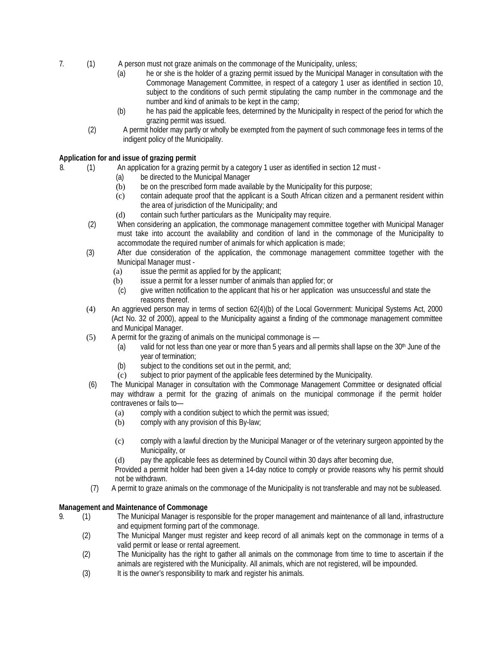- 7. (1) A person must not graze animals on the commonage of the Municipality, unless;
	- (a) he or she is the holder of a grazing permit issued by the Municipal Manager in consultation with the Commonage Management Committee, in respect of a category 1 user as identified in section 10, subject to the conditions of such permit stipulating the camp number in the commonage and the number and kind of animals to be kept in the camp;
	- (b) he has paid the applicable fees, determined by the Municipality in respect of the period for which the grazing permit was issued.
	- (2) A permit holder may partly or wholly be exempted from the payment of such commonage fees in terms of the indigent policy of the Municipality.

# **Application for and issue of grazing permit**

- 8. (1) An application for a grazing permit by a category 1 user as identified in section 12 must -
	- (a) be directed to the Municipal Manager
	- (b) be on the prescribed form made available by the Municipality for this purpose;
	- (c) contain adequate proof that the applicant is a South African citizen and a permanent resident within the area of jurisdiction of the Municipality; and
	- (d) contain such further particulars as the Municipality may require.
	- (2) When considering an application, the commonage management committee together with Municipal Manager must take into account the availability and condition of land in the commonage of the Municipality to accommodate the required number of animals for which application is made;
	- (3) After due consideration of the application, the commonage management committee together with the Municipal Manager must -
		- (a) issue the permit as applied for by the applicant;
		- (b) issue a permit for a lesser number of animals than applied for; or<br>(c) give written notification to the applicant that his or her application
		- give written notification to the applicant that his or her application was unsuccessful and state the reasons thereof.
	- (4) An aggrieved person may in terms of section 62(4)(b) of the Local Government: Municipal Systems Act, 2000 (Act No. 32 of 2000), appeal to the Municipality against a finding of the commonage management committee and Municipal Manager.
	- $(5)$  A permit for the grazing of animals on the municipal commonage is  $-$ 
		- (a) valid for not less than one year or more than 5 years and all permits shall lapse on the  $30<sup>th</sup>$  June of the year of termination;
		- (b) subject to the conditions set out in the permit, and;
		- (c) subject to prior payment of the applicable fees determined by the Municipality.
	- (6) The Municipal Manager in consultation with the Commonage Management Committee or designated official may withdraw a permit for the grazing of animals on the municipal commonage if the permit holder contravenes or fails to—
		- (a) comply with a condition subject to which the permit was issued;
		- (b) comply with any provision of this By-law;
		- (c) comply with a lawful direction by the Municipal Manager or of the veterinary surgeon appointed by the Municipality, or
		- (d) pay the applicable fees as determined by Council within 30 days after becoming due,

Provided a permit holder had been given a 14-day notice to comply or provide reasons why his permit should not be withdrawn.

(7) A permit to graze animals on the commonage of the Municipality is not transferable and may not be subleased.

# **Management and Maintenance of Commonage**

- 9. (1) The Municipal Manager is responsible for the proper management and maintenance of all land, infrastructure and equipment forming part of the commonage.
	- (2) The Municipal Manger must register and keep record of all animals kept on the commonage in terms of a valid permit or lease or rental agreement.
	- (2) The Municipality has the right to gather all animals on the commonage from time to time to ascertain if the animals are registered with the Municipality. All animals, which are not registered, will be impounded.
	- (3) It is the owner's responsibility to mark and register his animals.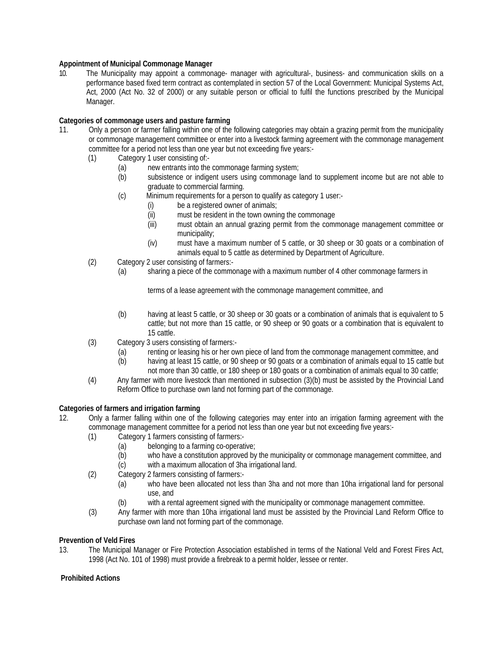# **Appointment of Municipal Commonage Manager**

10. The Municipality may appoint a commonage- manager with agricultural-, business- and communication skills on a performance based fixed term contract as contemplated in section 57 of the Local Government: Municipal Systems Act, Act, 2000 (Act No. 32 of 2000) or any suitable person or official to fulfil the functions prescribed by the Municipal Manager.

# **Categories of commonage users and pasture farming**

- 11. Only a person or farmer falling within one of the following categories may obtain a grazing permit from the municipality or commonage management committee or enter into a livestock farming agreement with the commonage management committee for a period not less than one year but not exceeding five years:-
	- (1) Category 1 user consisting of:-
		-
		- (a) new entrants into the commonage farming system;<br>(b) subsistence or indigent users using commonage I subsistence or indigent users using commonage land to supplement income but are not able to graduate to commercial farming.
		- (c) Minimum requirements for a person to qualify as category 1 user:-
			- (i) be a registered owner of animals;
			- (ii) must be resident in the town owning the commonage
			- (iii) must obtain an annual grazing permit from the commonage management committee or municipality;
			- (iv) must have a maximum number of 5 cattle, or 30 sheep or 30 goats or a combination of animals equal to 5 cattle as determined by Department of Agriculture.
	- (2) Category 2 user consisting of farmers:-
		- (a) sharing a piece of the commonage with a maximum number of 4 other commonage farmers in

terms of a lease agreement with the commonage management committee, and

- (b) having at least 5 cattle, or 30 sheep or 30 goats or a combination of animals that is equivalent to 5 cattle; but not more than 15 cattle, or 90 sheep or 90 goats or a combination that is equivalent to 15 cattle.
- (3) Category 3 users consisting of farmers:-
	- (a) renting or leasing his or her own piece of land from the commonage management committee, and<br>(b) having at least 15 cattle, or 90 sheep or 90 goats or a combination of animals equal to 15 cattle bu
	- having at least 15 cattle, or 90 sheep or 90 goats or a combination of animals equal to 15 cattle but not more than 30 cattle, or 180 sheep or 180 goats or a combination of animals equal to 30 cattle;
- (4) Any farmer with more livestock than mentioned in subsection (3)(b) must be assisted by the Provincial Land Reform Office to purchase own land not forming part of the commonage.

### **Categories of farmers and irrigation farming**

- 12. Only a farmer falling within one of the following categories may enter into an irrigation farming agreement with the commonage management committee for a period not less than one year but not exceeding five years:-
	- (1) Category 1 farmers consisting of farmers:-
		- (a) belonging to a farming co-operative;<br>(b) who have a constitution approved by
			- who have a constitution approved by the municipality or commonage management committee, and
		- (c) with a maximum allocation of 3ha irrigational land.
	- (2) Category 2 farmers consisting of farmers:-
		- (a) who have been allocated not less than 3ha and not more than 10ha irrigational land for personal use, and
		- (b) with a rental agreement signed with the municipality or commonage management committee.
	- (3) Any farmer with more than 10ha irrigational land must be assisted by the Provincial Land Reform Office to purchase own land not forming part of the commonage.

### **Prevention of Veld Fires**

13. The Municipal Manager or Fire Protection Association established in terms of the National Veld and Forest Fires Act, 1998 (Act No. 101 of 1998) must provide a firebreak to a permit holder, lessee or renter.

### **Prohibited Actions**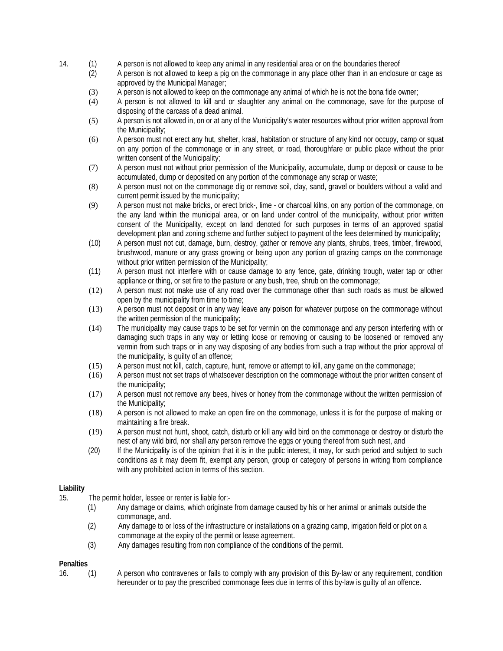- 14. (1) A person is not allowed to keep any animal in any residential area or on the boundaries thereof<br>(2) A person is not allowed to keep a pig on the commonage in any place other than in an enclosu
	- A person is not allowed to keep a pig on the commonage in any place other than in an enclosure or cage as approved by the Municipal Manager;
	- (3) A person is not allowed to keep on the commonage any animal of which he is not the bona fide owner;
	- (4) A person is not allowed to kill and or slaughter any animal on the commonage, save for the purpose of disposing of the carcass of a dead animal.
	- (5) A person is not allowed in, on or at any of the Municipality's water resources without prior written approval from the Municipality;
	- (6) A person must not erect any hut, shelter, kraal, habitation or structure of any kind nor occupy, camp or squat on any portion of the commonage or in any street, or road, thoroughfare or public place without the prior written consent of the Municipality;
	- (7) A person must not without prior permission of the Municipality, accumulate, dump or deposit or cause to be accumulated, dump or deposited on any portion of the commonage any scrap or waste;
	- (8) A person must not on the commonage dig or remove soil, clay, sand, gravel or boulders without a valid and current permit issued by the municipality;
	- (9) A person must not make bricks, or erect brick-, lime or charcoal kilns, on any portion of the commonage, on the any land within the municipal area, or on land under control of the municipality, without prior written consent of the Municipality, except on land denoted for such purposes in terms of an approved spatial development plan and zoning scheme and further subject to payment of the fees determined by municipality;
	- (10) A person must not cut, damage, burn, destroy, gather or remove any plants, shrubs, trees, timber, firewood, brushwood, manure or any grass growing or being upon any portion of grazing camps on the commonage without prior written permission of the Municipality;
	- (11) A person must not interfere with or cause damage to any fence, gate, drinking trough, water tap or other appliance or thing, or set fire to the pasture or any bush, tree, shrub on the commonage;
	- (12) A person must not make use of any road over the commonage other than such roads as must be allowed open by the municipality from time to time;
	- (13) A person must not deposit or in any way leave any poison for whatever purpose on the commonage without the written permission of the municipality;
	- (14) The municipality may cause traps to be set for vermin on the commonage and any person interfering with or damaging such traps in any way or letting loose or removing or causing to be loosened or removed any vermin from such traps or in any way disposing of any bodies from such a trap without the prior approval of the municipality, is guilty of an offence;
	- (15) A person must not kill, catch, capture, hunt, remove or attempt to kill, any game on the commonage;
	- (16) A person must not set traps of whatsoever description on the commonage without the prior written consent of the municipality;
	- (17) A person must not remove any bees, hives or honey from the commonage without the written permission of the Municipality;
	- (18) A person is not allowed to make an open fire on the commonage, unless it is for the purpose of making or maintaining a fire break.
	- (19) A person must not hunt, shoot, catch, disturb or kill any wild bird on the commonage or destroy or disturb the nest of any wild bird, nor shall any person remove the eggs or young thereof from such nest, and
	- (20) If the Municipality is of the opinion that it is in the public interest, it may, for such period and subject to such conditions as it may deem fit, exempt any person, group or category of persons in writing from compliance with any prohibited action in terms of this section.

### **Liability**

- 15. The permit holder, lessee or renter is liable for:-
	- (1) Any damage or claims, which originate from damage caused by his or her animal or animals outside the commonage, and.
	- (2) Any damage to or loss of the infrastructure or installations on a grazing camp, irrigation field or plot on a commonage at the expiry of the permit or lease agreement.
	- (3) Any damages resulting from non compliance of the conditions of the permit.

### **Penalties**

16. (1) A person who contravenes or fails to comply with any provision of this By-law or any requirement, condition hereunder or to pay the prescribed commonage fees due in terms of this by-law is guilty of an offence.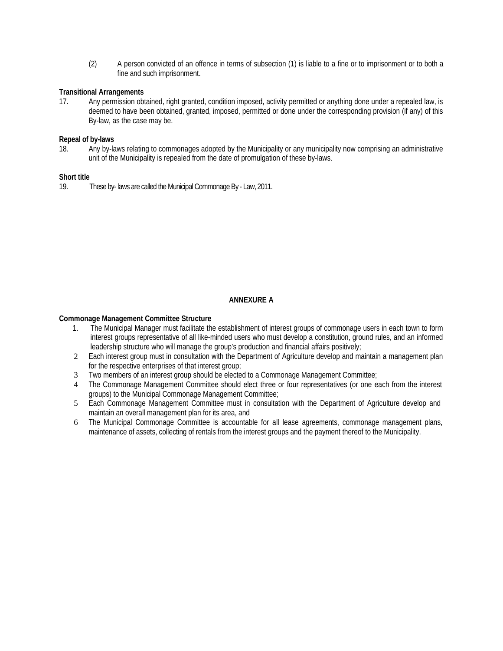(2) A person convicted of an offence in terms of subsection (1) is liable to a fine or to imprisonment or to both a fine and such imprisonment.

# **Transitional Arrangements**

17. Any permission obtained, right granted, condition imposed, activity permitted or anything done under a repealed law, is deemed to have been obtained, granted, imposed, permitted or done under the corresponding provision (if any) of this By-law, as the case may be.

# **Repeal of by-laws**

18. Any by-laws relating to commonages adopted by the Municipality or any municipality now comprising an administrative unit of the Municipality is repealed from the date of promulgation of these by-laws.

### **Short title**

19. These by- laws are called the Municipal Commonage By - Law, 2011.

### **ANNEXURE A**

### **Commonage Management Committee Structure**

- 1. The Municipal Manager must facilitate the establishment of interest groups of commonage users in each town to form interest groups representative of all like-minded users who must develop a constitution, ground rules, and an informed leadership structure who will manage the group's production and financial affairs positively;
- 2 Each interest group must in consultation with the Department of Agriculture develop and maintain a management plan for the respective enterprises of that interest group;
- 3 Two members of an interest group should be elected to a Commonage Management Committee;
- 4 The Commonage Management Committee should elect three or four representatives (or one each from the interest groups) to the Municipal Commonage Management Committee;
- 5 Each Commonage Management Committee must in consultation with the Department of Agriculture develop and maintain an overall management plan for its area, and
- 6 The Municipal Commonage Committee is accountable for all lease agreements, commonage management plans, maintenance of assets, collecting of rentals from the interest groups and the payment thereof to the Municipality.